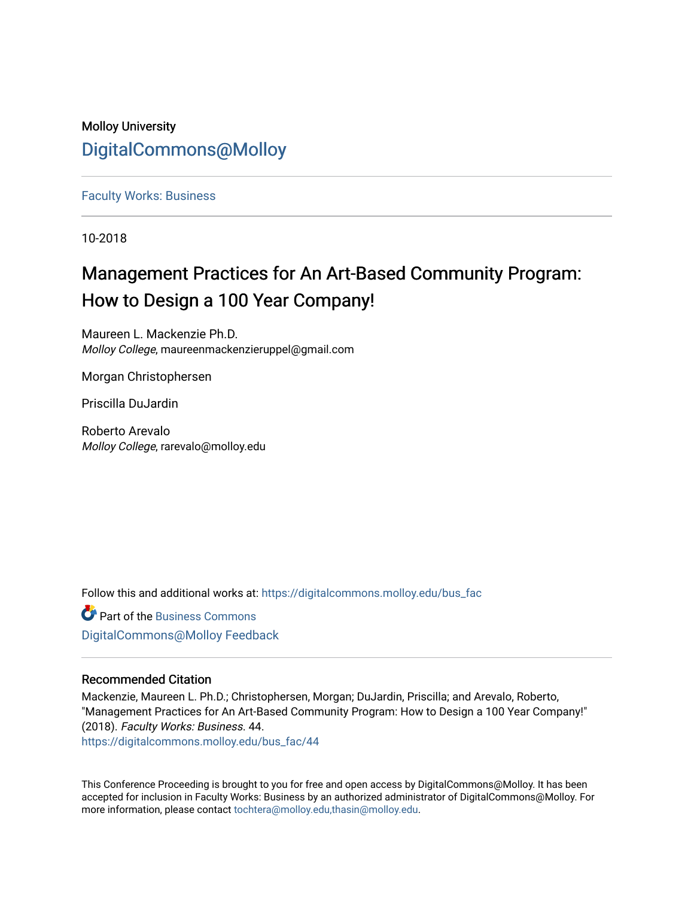## Molloy University [DigitalCommons@Molloy](https://digitalcommons.molloy.edu/)

### [Faculty Works: Business](https://digitalcommons.molloy.edu/bus_fac)

10-2018

## Management Practices for An Art-Based Community Program: How to Design a 100 Year Company!

Maureen L. Mackenzie Ph.D. Molloy College, maureenmackenzieruppel@gmail.com

Morgan Christophersen

Priscilla DuJardin

Roberto Arevalo Molloy College, rarevalo@molloy.edu

Follow this and additional works at: [https://digitalcommons.molloy.edu/bus\\_fac](https://digitalcommons.molloy.edu/bus_fac?utm_source=digitalcommons.molloy.edu%2Fbus_fac%2F44&utm_medium=PDF&utm_campaign=PDFCoverPages)

**C** Part of the [Business Commons](https://network.bepress.com/hgg/discipline/622?utm_source=digitalcommons.molloy.edu%2Fbus_fac%2F44&utm_medium=PDF&utm_campaign=PDFCoverPages) [DigitalCommons@Molloy Feedback](https://molloy.libwizard.com/f/dcfeedback)

### Recommended Citation

Mackenzie, Maureen L. Ph.D.; Christophersen, Morgan; DuJardin, Priscilla; and Arevalo, Roberto, "Management Practices for An Art-Based Community Program: How to Design a 100 Year Company!" (2018). Faculty Works: Business. 44.

[https://digitalcommons.molloy.edu/bus\\_fac/44](https://digitalcommons.molloy.edu/bus_fac/44?utm_source=digitalcommons.molloy.edu%2Fbus_fac%2F44&utm_medium=PDF&utm_campaign=PDFCoverPages) 

This Conference Proceeding is brought to you for free and open access by DigitalCommons@Molloy. It has been accepted for inclusion in Faculty Works: Business by an authorized administrator of DigitalCommons@Molloy. For more information, please contact [tochtera@molloy.edu,thasin@molloy.edu.](mailto:tochtera@molloy.edu,thasin@molloy.edu)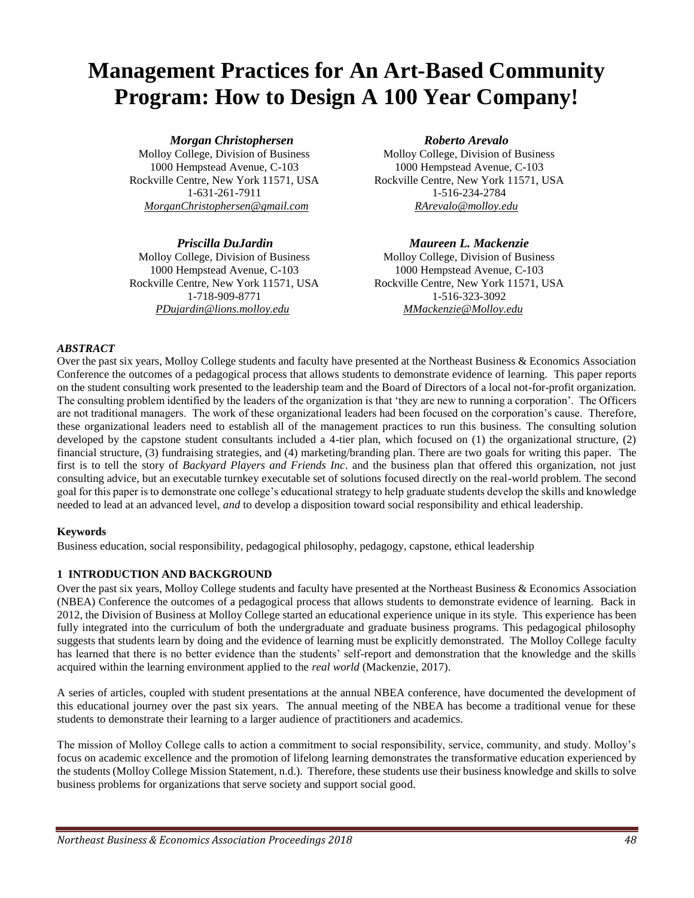# **Management Practices for An Art-Based Community Program: How to Design A 100 Year Company!**

 *Morgan Christophersen Roberto Arevalo*

Molloy College, Division of Business Molloy College, Division of Business 1000 Hempstead Avenue, C-103 1000 Hempstead Avenue, C-103 1-718-909-8771 1-516-323-3092 *PDujardin@lions.molloy.edu MMackenzie@Molloy.edu*

Molloy College, Division of Business Molloy College, Division of Business 1000 Hempstead Avenue, C-103 1000 Hempstead Avenue, C-103 Rockville Centre, New York 11571, USA Rockville Centre, New York 11571, USA 1-631-261-7911 1-516-234-2784 *MorganChristophersen@gmail.com RArevalo@molloy.edu*

 *Priscilla DuJardin Maureen L. Mackenzie* Rockville Centre, New York 11571, USA Rockville Centre, New York 11571, USA

#### *ABSTRACT*

Over the past six years, Molloy College students and faculty have presented at the Northeast Business & Economics Association Conference the outcomes of a pedagogical process that allows students to demonstrate evidence of learning. This paper reports on the student consulting work presented to the leadership team and the Board of Directors of a local not-for-profit organization. The consulting problem identified by the leaders of the organization is that 'they are new to running a corporation'. The Officers are not traditional managers. The work of these organizational leaders had been focused on the corporation's cause. Therefore, these organizational leaders need to establish all of the management practices to run this business. The consulting solution developed by the capstone student consultants included a 4-tier plan, which focused on (1) the organizational structure, (2) financial structure, (3) fundraising strategies, and (4) marketing/branding plan. There are two goals for writing this paper. The first is to tell the story of *Backyard Players and Friends Inc*. and the business plan that offered this organization, not just consulting advice, but an executable turnkey executable set of solutions focused directly on the real-world problem. The second goal for this paper is to demonstrate one college's educational strategy to help graduate students develop the skills and knowledge needed to lead at an advanced level, *and* to develop a disposition toward social responsibility and ethical leadership.

#### **Keywords**

Business education, social responsibility, pedagogical philosophy, pedagogy, capstone, ethical leadership

#### **1 INTRODUCTION AND BACKGROUND**

Over the past six years, Molloy College students and faculty have presented at the Northeast Business & Economics Association (NBEA) Conference the outcomes of a pedagogical process that allows students to demonstrate evidence of learning. Back in 2012, the Division of Business at Molloy College started an educational experience unique in its style. This experience has been fully integrated into the curriculum of both the undergraduate and graduate business programs. This pedagogical philosophy suggests that students learn by doing and the evidence of learning must be explicitly demonstrated. The Molloy College faculty has learned that there is no better evidence than the students' self-report and demonstration that the knowledge and the skills acquired within the learning environment applied to the *real world* (Mackenzie, 2017).

A series of articles, coupled with student presentations at the annual NBEA conference, have documented the development of this educational journey over the past six years. The annual meeting of the NBEA has become a traditional venue for these students to demonstrate their learning to a larger audience of practitioners and academics.

The mission of Molloy College calls to action a commitment to social responsibility, service, community, and study. Molloy's focus on academic excellence and the promotion of lifelong learning demonstrates the transformative education experienced by the students (Molloy College Mission Statement, n.d.). Therefore, these students use their business knowledge and skills to solve business problems for organizations that serve society and support social good.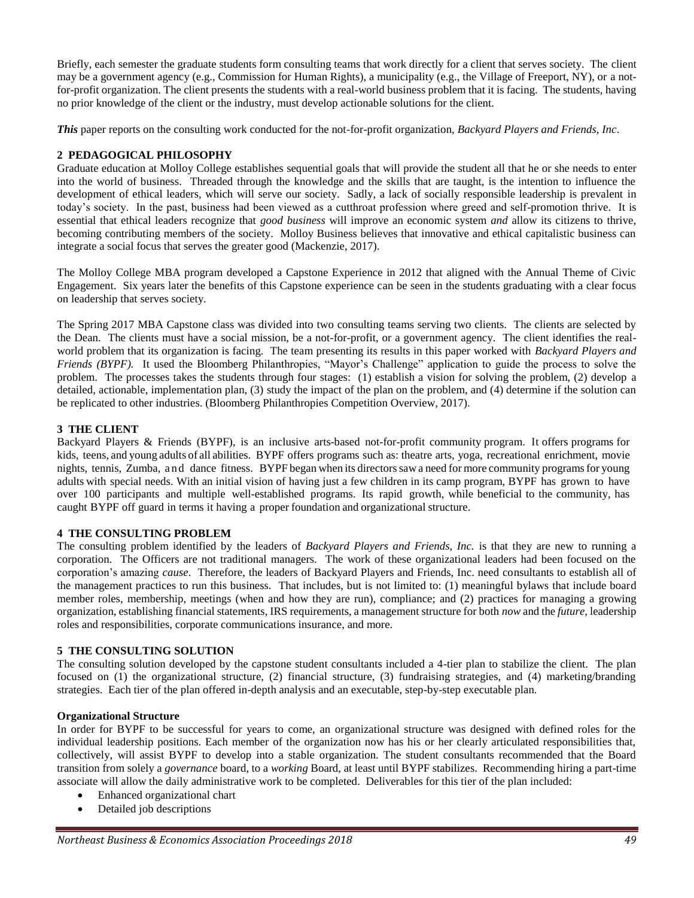Briefly, each semester the graduate students form consulting teams that work directly for a client that serves society. The client may be a government agency (e.g., Commission for Human Rights), a municipality (e.g., the Village of Freeport, NY), or a notfor-profit organization. The client presents the students with a real-world business problem that it is facing. The students, having no prior knowledge of the client or the industry, must develop actionable solutions for the client.

*This* paper reports on the consulting work conducted for the not-for-profit organization, *Backyard Players and Friends, Inc*.

#### **2 PEDAGOGICAL PHILOSOPHY**

Graduate education at Molloy College establishes sequential goals that will provide the student all that he or she needs to enter into the world of business. Threaded through the knowledge and the skills that are taught, is the intention to influence the development of ethical leaders, which will serve our society. Sadly, a lack of socially responsible leadership is prevalent in today's society. In the past, business had been viewed as a cutthroat profession where greed and self-promotion thrive. It is essential that ethical leaders recognize that *good business* will improve an economic system *and* allow its citizens to thrive, becoming contributing members of the society. Molloy Business believes that innovative and ethical capitalistic business can integrate a social focus that serves the greater good (Mackenzie, 2017).

The Molloy College MBA program developed a Capstone Experience in 2012 that aligned with the Annual Theme of Civic Engagement. Six years later the benefits of this Capstone experience can be seen in the students graduating with a clear focus on leadership that serves society.

The Spring 2017 MBA Capstone class was divided into two consulting teams serving two clients. The clients are selected by the Dean. The clients must have a social mission, be a not-for-profit, or a government agency. The client identifies the realworld problem that its organization is facing. The team presenting its results in this paper worked with *Backyard Players and Friends (BYPF).* It used the Bloomberg Philanthropies, "Mayor's Challenge" application to guide the process to solve the problem. The processes takes the students through four stages: (1) establish a vision for solving the problem, (2) develop a detailed, actionable, implementation plan, (3) study the impact of the plan on the problem, and (4) determine if the solution can be replicated to other industries. (Bloomberg Philanthropies Competition Overview, 2017).

#### **3 THE CLIENT**

Backyard Players & Friends (BYPF), is an inclusive arts-based not-for-profit community program. It offers programs for kids, teens, and young adults of all abilities. BYPF offers programs such as: theatre arts, yoga, recreational enrichment, movie nights, tennis, Zumba, a n d dance fitness. BYPF began when its directorssaw a need for more community programsfor young adults with special needs. With an initial vision of having just a few children in its camp program, BYPF has grown to have over 100 participants and multiple well-established programs. Its rapid growth, while beneficial to the community, has caught BYPF off guard in terms it having a proper foundation and organizational structure.

#### **4 THE CONSULTING PROBLEM**

The consulting problem identified by the leaders of *Backyard Players and Friends, Inc.* is that they are new to running a corporation. The Officers are not traditional managers. The work of these organizational leaders had been focused on the corporation's amazing *cause*. Therefore, the leaders of Backyard Players and Friends, Inc. need consultants to establish all of the management practices to run this business. That includes, but is not limited to: (1) meaningful bylaws that include board member roles, membership, meetings (when and how they are run), compliance; and (2) practices for managing a growing organization, establishing financial statements, IRS requirements, a management structure for both *now* and the *future*, leadership roles and responsibilities, corporate communications insurance, and more.

#### **5 THE CONSULTING SOLUTION**

The consulting solution developed by the capstone student consultants included a 4-tier plan to stabilize the client. The plan focused on (1) the organizational structure, (2) financial structure, (3) fundraising strategies, and (4) marketing/branding strategies. Each tier of the plan offered in-depth analysis and an executable, step-by-step executable plan.

#### **Organizational Structure**

In order for BYPF to be successful for years to come, an organizational structure was designed with defined roles for the individual leadership positions. Each member of the organization now has his or her clearly articulated responsibilities that, collectively, will assist BYPF to develop into a stable organization. The student consultants recommended that the Board transition from solely a *governance* board, to a *working* Board, at least until BYPF stabilizes. Recommending hiring a part-time associate will allow the daily administrative work to be completed. Deliverables for this tier of the plan included:

- Enhanced organizational chart
- Detailed job descriptions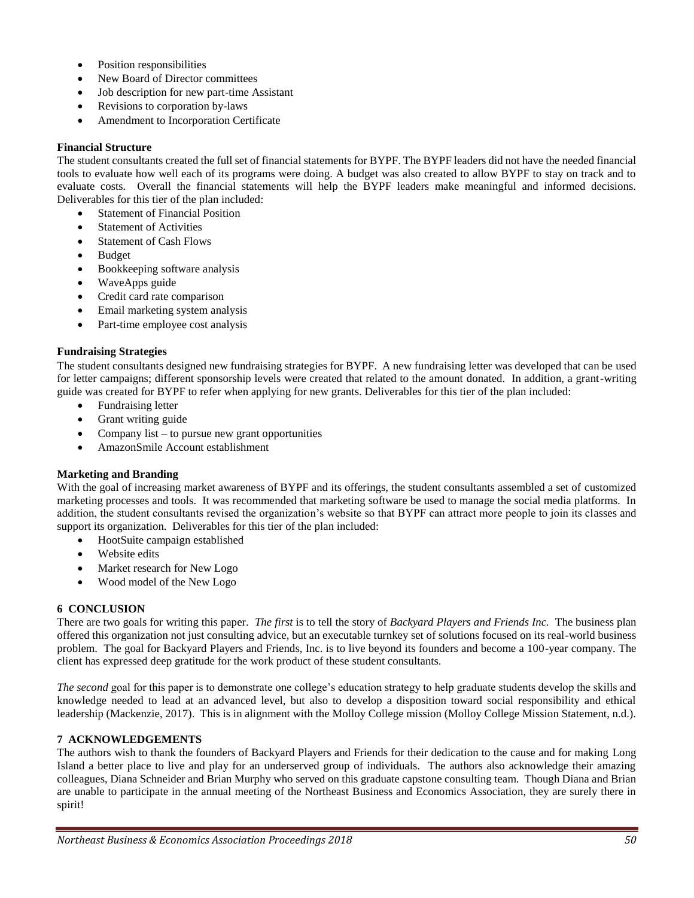- Position responsibilities
- New Board of Director committees
- Job description for new part-time Assistant
- Revisions to corporation by-laws
- Amendment to Incorporation Certificate

#### **Financial Structure**

The student consultants created the full set of financial statements for BYPF. The BYPF leaders did not have the needed financial tools to evaluate how well each of its programs were doing. A budget was also created to allow BYPF to stay on track and to evaluate costs. Overall the financial statements will help the BYPF leaders make meaningful and informed decisions. Deliverables for this tier of the plan included:

- Statement of Financial Position
- **Statement of Activities**
- Statement of Cash Flows
- Budget
- Bookkeeping software analysis
- WaveApps guide
- Credit card rate comparison
- Email marketing system analysis
- Part-time employee cost analysis

#### **Fundraising Strategies**

The student consultants designed new fundraising strategies for BYPF. A new fundraising letter was developed that can be used for letter campaigns; different sponsorship levels were created that related to the amount donated. In addition, a grant-writing guide was created for BYPF to refer when applying for new grants. Deliverables for this tier of the plan included:

- Fundraising letter
- Grant writing guide
- Company list to pursue new grant opportunities
- AmazonSmile Account establishment

#### **Marketing and Branding**

With the goal of increasing market awareness of BYPF and its offerings, the student consultants assembled a set of customized marketing processes and tools. It was recommended that marketing software be used to manage the social media platforms. In addition, the student consultants revised the organization's website so that BYPF can attract more people to join its classes and support its organization. Deliverables for this tier of the plan included:

- HootSuite campaign established
- Website edits
- Market research for New Logo
- Wood model of the New Logo

#### **6 CONCLUSION**

There are two goals for writing this paper. *The first* is to tell the story of *Backyard Players and Friends Inc.* The business plan offered this organization not just consulting advice, but an executable turnkey set of solutions focused on its real-world business problem. The goal for Backyard Players and Friends, Inc. is to live beyond its founders and become a 100-year company. The client has expressed deep gratitude for the work product of these student consultants.

*The second* goal for this paper is to demonstrate one college's education strategy to help graduate students develop the skills and knowledge needed to lead at an advanced level, but also to develop a disposition toward social responsibility and ethical leadership (Mackenzie, 2017). This is in alignment with the Molloy College mission (Molloy College Mission Statement, n.d.).

#### **7 ACKNOWLEDGEMENTS**

The authors wish to thank the founders of Backyard Players and Friends for their dedication to the cause and for making Long Island a better place to live and play for an underserved group of individuals. The authors also acknowledge their amazing colleagues, Diana Schneider and Brian Murphy who served on this graduate capstone consulting team. Though Diana and Brian are unable to participate in the annual meeting of the Northeast Business and Economics Association, they are surely there in spirit!